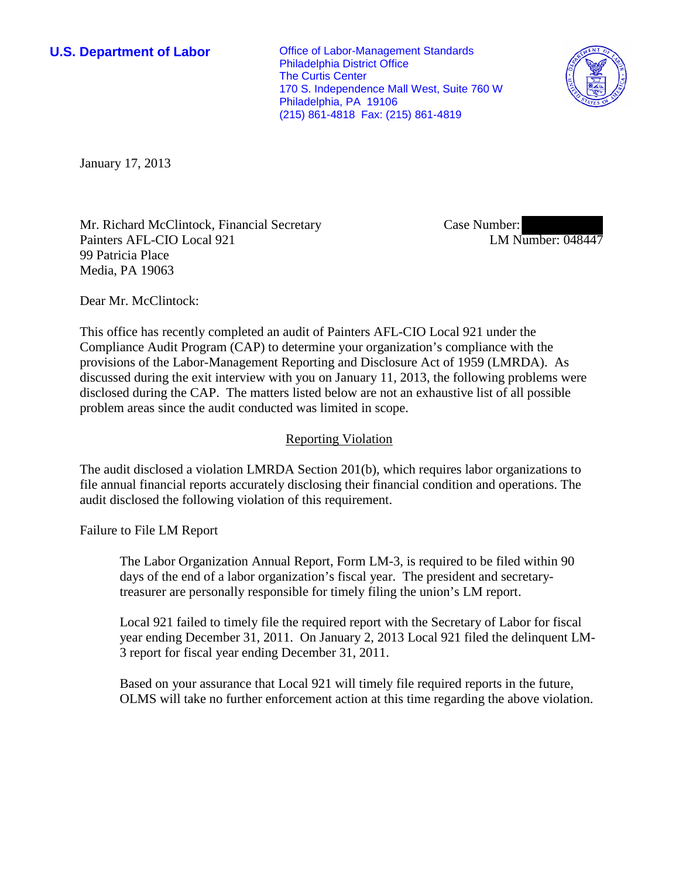**U.S. Department of Labor Conservative Conservative Conservative Conservative Conservative Conservative Conservative Conservative Conservative Conservative Conservative Conservative Conservative Conservative Conservative** Philadelphia District Office The Curtis Center 170 S. Independence Mall West, Suite 760 W Philadelphia, PA 19106 (215) 861-4818 Fax: (215) 861-4819



January 17, 2013

Mr. Richard McClintock, Financial Secretary Painters AFL-CIO Local 921 99 Patricia Place Media, PA 19063

Case Number: LM Number: 048447

Dear Mr. McClintock:

This office has recently completed an audit of Painters AFL-CIO Local 921 under the Compliance Audit Program (CAP) to determine your organization's compliance with the provisions of the Labor-Management Reporting and Disclosure Act of 1959 (LMRDA). As discussed during the exit interview with you on January 11, 2013, the following problems were disclosed during the CAP. The matters listed below are not an exhaustive list of all possible problem areas since the audit conducted was limited in scope.

## Reporting Violation

The audit disclosed a violation LMRDA Section 201(b), which requires labor organizations to file annual financial reports accurately disclosing their financial condition and operations. The audit disclosed the following violation of this requirement.

Failure to File LM Report

The Labor Organization Annual Report, Form LM-3, is required to be filed within 90 days of the end of a labor organization's fiscal year. The president and secretarytreasurer are personally responsible for timely filing the union's LM report.

Local 921 failed to timely file the required report with the Secretary of Labor for fiscal year ending December 31, 2011. On January 2, 2013 Local 921 filed the delinquent LM-3 report for fiscal year ending December 31, 2011.

Based on your assurance that Local 921 will timely file required reports in the future, OLMS will take no further enforcement action at this time regarding the above violation.